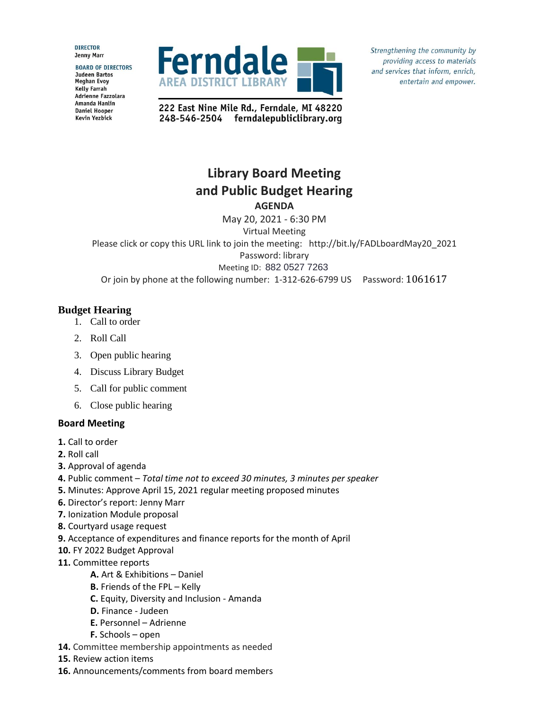**DIRECTOR Jenny Marr** 

**BOARD OF DIRECTORS Judeen Bartos Meghan Evoy Kelly Farrah** Adrienne Fazzolara Amanda Hanlin **Daniel Hooper Kevin Yezbick** 



Strengthening the community by providing access to materials and services that inform, enrich, entertain and empower.

222 East Nine Mile Rd., Ferndale, MI 48220 248-546-2504 ferndalepubliclibrary.org

## **Library Board Meeting and Public Budget Hearing AGENDA**

May 20, 2021 - 6:30 PM

Virtual Meeting Please click or copy this URL link to join the meeting: http://bit.ly/FADLboardMay20\_2021 Password: library Meeting ID: 882 0527 7263 Or join by phone at the following number: 1-312-626-6799 US Password: 1061617

## **Budget Hearing**

- 1. Call to order
- 2. Roll Call
- 3. Open public hearing
- 4. Discuss Library Budget
- 5. Call for public comment
- 6. Close public hearing

## **Board Meeting**

- **1.** Call to order
- **2.** Roll call
- **3.** Approval of agenda
- **4.** Public comment *Total time not to exceed 30 minutes, 3 minutes per speaker*
- **5.** Minutes: Approve April 15, 2021 regular meeting proposed minutes
- **6.** Director's report: Jenny Marr
- **7.** Ionization Module proposal
- **8.** Courtyard usage request
- **9.** Acceptance of expenditures and finance reports for the month of April
- **10.** FY 2022 Budget Approval
- **11.** Committee reports
	- **A.** Art & Exhibitions Daniel
	- **B.** Friends of the FPL Kelly
	- **C.** Equity, Diversity and Inclusion Amanda
	- **D.** Finance Judeen
	- **E.** Personnel Adrienne
	- **F.** Schools open
- **14.** Committee membership appointments as needed
- **15.** Review action items
- **16.** Announcements/comments from board members